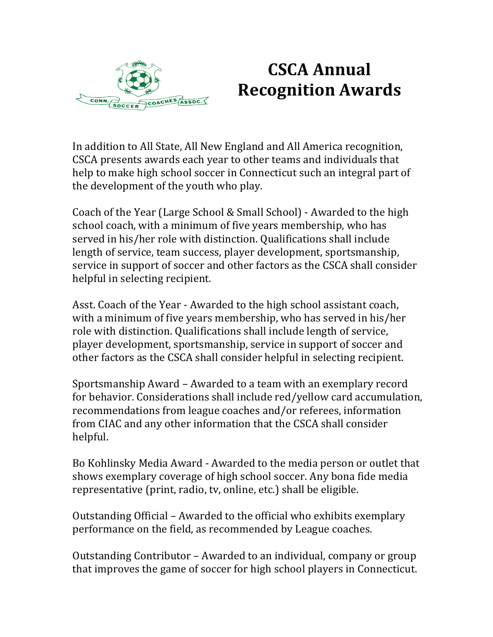

## **CSCA Annual Recognition Awards**

In addition to All State, All New England and All America recognition, CSCA presents awards each year to other teams and individuals that help to make high school soccer in Connecticut such an integral part of the development of the youth who play.

Coach of the Year (Large School & Small School) - Awarded to the high school coach, with a minimum of five years membership, who has served in his/her role with distinction. Qualifications shall include length of service, team success, player development, sportsmanship, service in support of soccer and other factors as the CSCA shall consider helpful in selecting recipient.

Asst. Coach of the Year - Awarded to the high school assistant coach, with a minimum of five years membership, who has served in his/her role with distinction. Qualifications shall include length of service, player development, sportsmanship, service in support of soccer and other factors as the CSCA shall consider helpful in selecting recipient.

Sportsmanship Award – Awarded to a team with an exemplary record for behavior. Considerations shall include red/yellow card accumulation, recommendations from league coaches and/or referees, information from CIAC and any other information that the CSCA shall consider helpful.

Bo Kohlinsky Media Award - Awarded to the media person or outlet that shows exemplary coverage of high school soccer. Any bona fide media representative (print, radio, tv, online, etc.) shall be eligible.

Outstanding Official – Awarded to the official who exhibits exemplary performance on the field, as recommended by League coaches.

Outstanding Contributor – Awarded to an individual, company or group that improves the game of soccer for high school players in Connecticut.